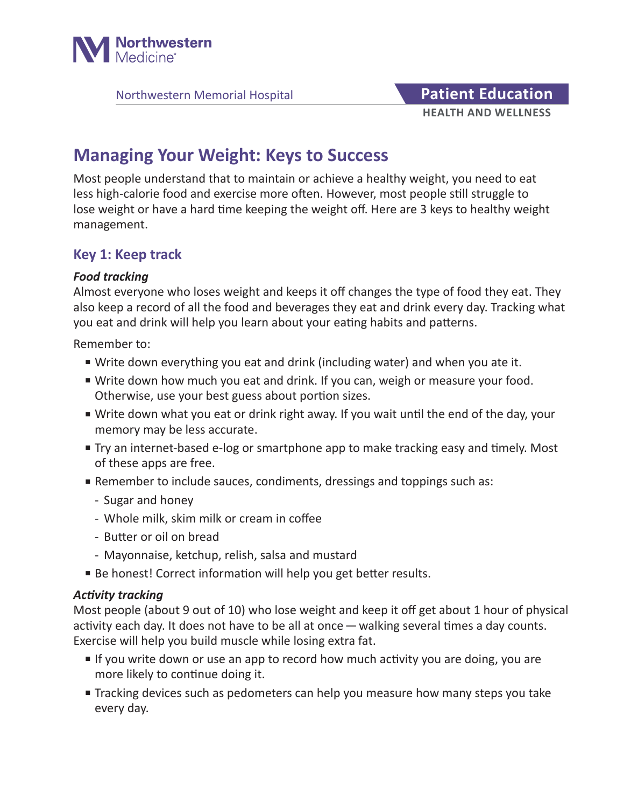

Northwestern Memorial Hospital **Patient Education** 

# **HEALTH AND WELLNESS**

# **Managing Your Weight: Keys to Success**

Most people understand that to maintain or achieve a healthy weight, you need to eat less high-calorie food and exercise more often. However, most people still struggle to lose weight or have a hard time keeping the weight off. Here are 3 keys to healthy weight management.

### **Key 1: Keep track**

#### *Food tracking*

Almost everyone who loses weight and keeps it off changes the type of food they eat. They also keep a record of all the food and beverages they eat and drink every day. Tracking what you eat and drink will help you learn about your eating habits and patterns.

Remember to:

- Write down everything you eat and drink (including water) and when you ate it.
- Write down how much you eat and drink. If you can, weigh or measure your food. Otherwise, use your best guess about portion sizes.
- Write down what you eat or drink right away. If you wait until the end of the day, your memory may be less accurate.
- Try an internet-based e-log or smartphone app to make tracking easy and timely. Most of these apps are free.
- Remember to include sauces, condiments, dressings and toppings such as:
	- Sugar and honey
	- Whole milk, skim milk or cream in coffee
	- Butter or oil on bread
	- Mayonnaise, ketchup, relish, salsa and mustard
- Be honest! Correct information will help you get better results.

#### *Activity tracking*

Most people (about 9 out of 10) who lose weight and keep it off get about 1 hour of physical activity each day. It does not have to be all at once—walking several times a day counts. Exercise will help you build muscle while losing extra fat.

- If you write down or use an app to record how much activity you are doing, you are more likely to continue doing it.
- Tracking devices such as pedometers can help you measure how many steps you take every day.